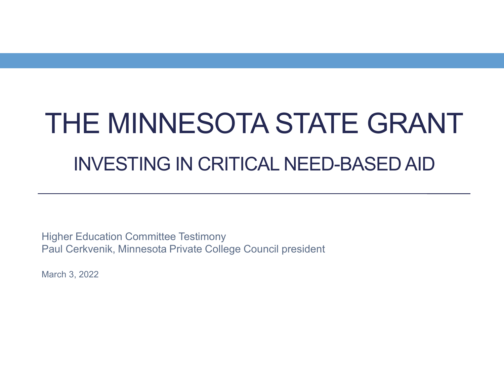# THE MINNESOTA STATE GRANT INVESTING IN CRITICAL NEED-BASED AID

Higher Education Committee Testimony Paul Cerkvenik, Minnesota Private College Council president

March 3, 2022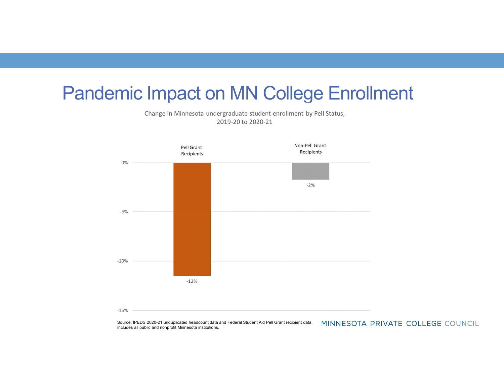#### Pandemic Impact on MN College Enrollment

Change in Minnesota undergraduate student enrollment by Pell Status, 2019-20 to 2020-21



 $-15%$ 

Source: IPEDS 2020-21 unduplicated headcount data and Federal Student Aid Pell Grant recipient data. MINNESOTA PRIVATE COLLEGE COUNCIL Includes all public and nonprofit Minnesota institutions.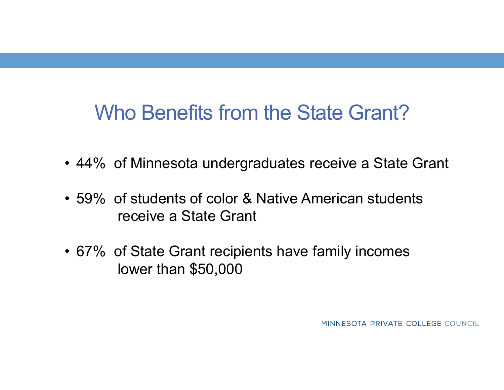# Who Benefits from the State Grant? Who Benefits from the State Grant?<br>• 44% of Minnesota undergraduates receive a State Grant<br>• 59% of students of color & Native American students

- 
- Who Benefits from the State Grant?<br>• 44% of Minnesota undergraduates receive a State Grant<br>• 59% of students of color & Native American students<br>• receive a State Grant receive a State Grant Who Benefits from the State Grant?<br>• 44% of Minnesota undergraduates receive a State Grant<br>• 59% of students of color & Native American students<br>receive a State Grant<br>• 67% of State Grant recipients have family incomes<br>low
- lower than \$50,000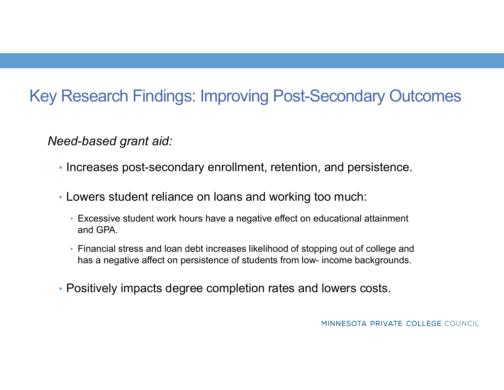#### Key Research Findings: Improving Post-Secondary Outcomes

Need-based grant aid:

- Increases post-secondary enrollment, retention, and persistence.
- Lowers student reliance on loans and working too much:
	- Excessive student work hours have a negative effect on educational attainment and GPA.
- Financial stress and loan debt increases likelihood of stopping out of college and has a negative affect on persistence of students from low- income backgrounds from low- increases post-secondary enrollment, retention, and persistence.<br>
• Lowers student reliance on loans and working too much:<br>
• Excessiv
-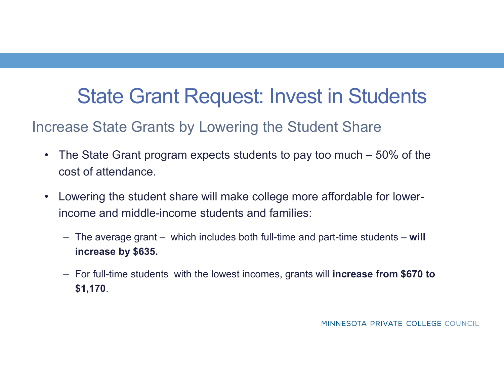## State Grant Request: Invest in Students

#### Increase State Grants by Lowering the Student Share

- State Grant Request: Invest in Students<br>
Free State Grants by Lowering the Student Share<br>
 The State Grant program expects students to pay too much 50% of the<br>
 Lowering the student share will make college more affor cost of attendance. • State Grant Request: Invest in Students<br>
• The state Grants by Lowering the Student Share<br>
• The state Grant program expects students to pay too much – 50% of th<br>
• cost of attendance.<br>
• Lowering the student share will State Grant Request: Invest in Students<br>ase State Grants by Lowering the Student Share<br>The state Grant program expects students to pay too much – 50% of the<br>ost of attendance.<br>owering the student share will make college mo For State Grants by Lowering the Student Share<br>The State Grant program expects students to pay too much – 50% of the<br>cost of attendance.<br>Covering the student share will make college more affordable for lower-<br>ncome and mid
- income and middle-income students and families:
	- increase by \$635.
	- \$1,170.